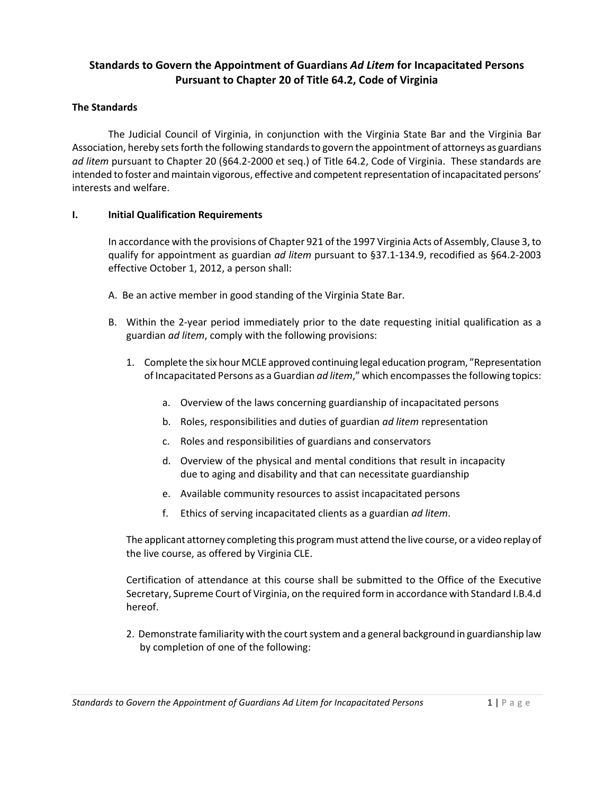# **Standards to Govern the Appointment of Guardians** *Ad Litem* **for Incapacitated Persons Pursuant to Chapter 20 of Title 64.2, Code of Virginia**

## **The Standards**

The Judicial Council of Virginia, in conjunction with the Virginia State Bar and the Virginia Bar Association, hereby sets forth the following standards to govern the appointment of attorneys as guardians *ad litem* pursuant to Chapter 20 (§64.2-2000 et seq.) of Title 64.2, Code of Virginia. These standards are intended to foster and maintain vigorous, effective and competent representation of incapacitated persons' interests and welfare.

#### **I. Initial Qualification Requirements**

In accordance with the provisions of Chapter 921 of the 1997 Virginia Acts of Assembly, Clause 3, to qualify for appointment as guardian *ad litem* pursuant to §37.1-134.9, recodified as §64.2-2003 effective October 1, 2012, a person shall:

- A. Be an active member in good standing of the Virginia State Bar.
- B. Within the 2-year period immediately prior to the date requesting initial qualification as a guardian *ad litem*, comply with the following provisions:
	- 1. Complete the six hour MCLE approved continuing legal education program, "Representation of Incapacitated Persons as a Guardian *ad litem*," which encompasses the following topics:
		- a. Overview of the laws concerning guardianship of incapacitated persons
		- b. Roles, responsibilities and duties of guardian *ad litem* representation
		- c. Roles and responsibilities of guardians and conservators
		- d. Overview of the physical and mental conditions that result in incapacity due to aging and disability and that can necessitate guardianship
		- e. Available community resources to assist incapacitated persons
		- f. Ethics of serving incapacitated clients as a guardian *ad litem*.

The applicant attorney completing this program must attend the live course, or a video replay of the live course, as offered by Virginia CLE.

Certification of attendance at this course shall be submitted to the Office of the Executive Secretary, Supreme Court of Virginia, on the required form in accordance with Standard I.B.4.d hereof.

2. Demonstrate familiarity with the court system and a general background in guardianship law by completion of one of the following: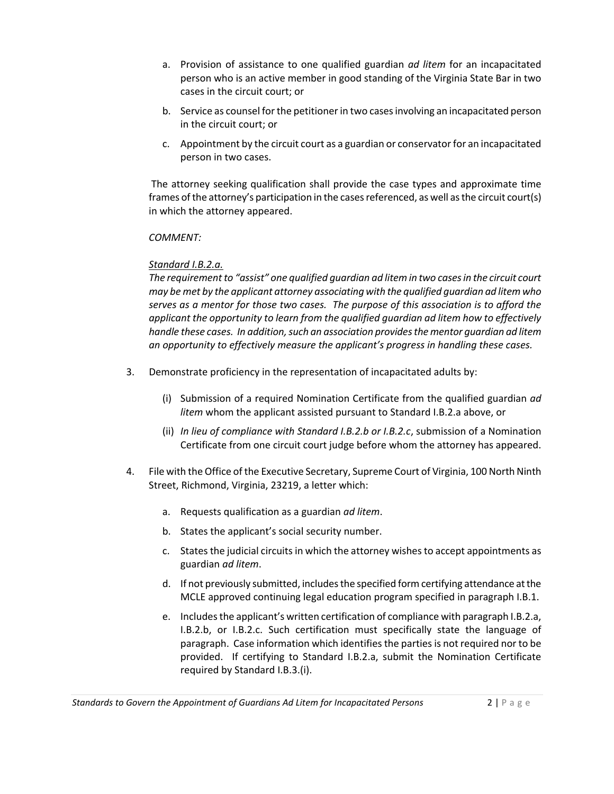- a. Provision of assistance to one qualified guardian *ad litem* for an incapacitated person who is an active member in good standing of the Virginia State Bar in two cases in the circuit court; or
- b. Service as counsel for the petitioner in two cases involving an incapacitated person in the circuit court; or
- c. Appointment by the circuit court as a guardian or conservator for an incapacitated person in two cases.

 The attorney seeking qualification shall provide the case types and approximate time frames of the attorney's participation in the cases referenced, as well as the circuit court(s) in which the attorney appeared.

# *COMMENT:*

# *Standard I.B.2.a.*

*The requirement to "assist" one qualified guardian ad litem in two cases in the circuit court may be met by the applicant attorney associating with the qualified guardian ad litem who serves as a mentor for those two cases. The purpose of this association is to afford the applicant the opportunity to learn from the qualified guardian ad litem how to effectively handle these cases. In addition, such an association provides the mentor guardian ad litem an opportunity to effectively measure the applicant's progress in handling these cases.* 

- 3. Demonstrate proficiency in the representation of incapacitated adults by:
	- (i) Submission of a required Nomination Certificate from the qualified guardian *ad litem* whom the applicant assisted pursuant to Standard I.B.2.a above, or
	- (ii) *In lieu of compliance with Standard I.B.2.b or I.B.2.c*, submission of a Nomination Certificate from one circuit court judge before whom the attorney has appeared.
- 4. File with the Office of the Executive Secretary, Supreme Court of Virginia, 100 North Ninth Street, Richmond, Virginia, 23219, a letter which:
	- a. Requests qualification as a guardian *ad litem*.
	- b. States the applicant's social security number.
	- c. States the judicial circuits in which the attorney wishes to accept appointments as guardian *ad litem*.
	- d. If not previously submitted, includes the specified form certifying attendance at the MCLE approved continuing legal education program specified in paragraph I.B.1.
	- e. Includes the applicant's written certification of compliance with paragraph I.B.2.a, I.B.2.b, or I.B.2.c. Such certification must specifically state the language of paragraph. Case information which identifies the parties is not required nor to be provided. If certifying to Standard I.B.2.a, submit the Nomination Certificate required by Standard I.B.3.(i).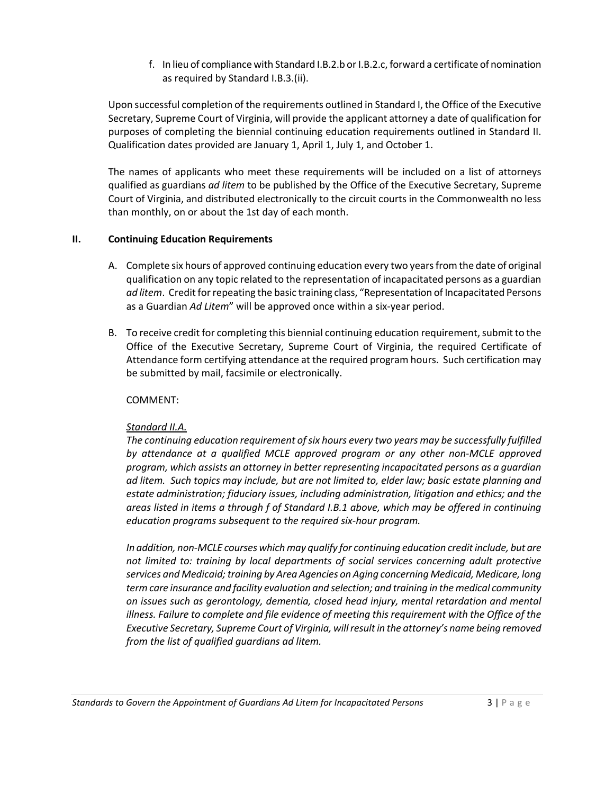f. In lieu of compliance with Standard I.B.2.b or I.B.2.c, forward a certificate of nomination as required by Standard I.B.3.(ii).

Upon successful completion of the requirements outlined in Standard I, the Office of the Executive Secretary, Supreme Court of Virginia, will provide the applicant attorney a date of qualification for purposes of completing the biennial continuing education requirements outlined in Standard II. Qualification dates provided are January 1, April 1, July 1, and October 1.

The names of applicants who meet these requirements will be included on a list of attorneys qualified as guardians *ad litem* to be published by the Office of the Executive Secretary, Supreme Court of Virginia, and distributed electronically to the circuit courts in the Commonwealth no less than monthly, on or about the 1st day of each month.

#### **II. Continuing Education Requirements**

- A. Complete six hours of approved continuing education every two years from the date of original qualification on any topic related to the representation of incapacitated persons as a guardian *ad litem*. Credit for repeating the basic training class, "Representation of Incapacitated Persons as a Guardian *Ad Litem*" will be approved once within a six-year period.
- B. To receive credit for completing this biennial continuing education requirement, submit to the Office of the Executive Secretary, Supreme Court of Virginia, the required Certificate of Attendance form certifying attendance at the required program hours. Such certification may be submitted by mail, facsimile or electronically.

## COMMENT:

# *Standard II.A.*

*The continuing education requirement of six hours every two years may be successfully fulfilled by attendance at a qualified MCLE approved program or any other non-MCLE approved program, which assists an attorney in better representing incapacitated persons as a guardian ad litem. Such topics may include, but are not limited to, elder law; basic estate planning and estate administration; fiduciary issues, including administration, litigation and ethics; and the areas listed in items a through f of Standard I.B.1 above, which may be offered in continuing education programs subsequent to the required six-hour program.* 

*In addition, non-MCLE courses which may qualify for continuing education credit include, but are not limited to: training by local departments of social services concerning adult protective services and Medicaid; training by Area Agencies on Aging concerning Medicaid, Medicare, long term care insurance and facility evaluation and selection; and training in the medical community on issues such as gerontology, dementia, closed head injury, mental retardation and mental illness. Failure to complete and file evidence of meeting this requirement with the Office of the Executive Secretary, Supreme Court of Virginia, will result in the attorney's name being removed from the list of qualified guardians ad litem.*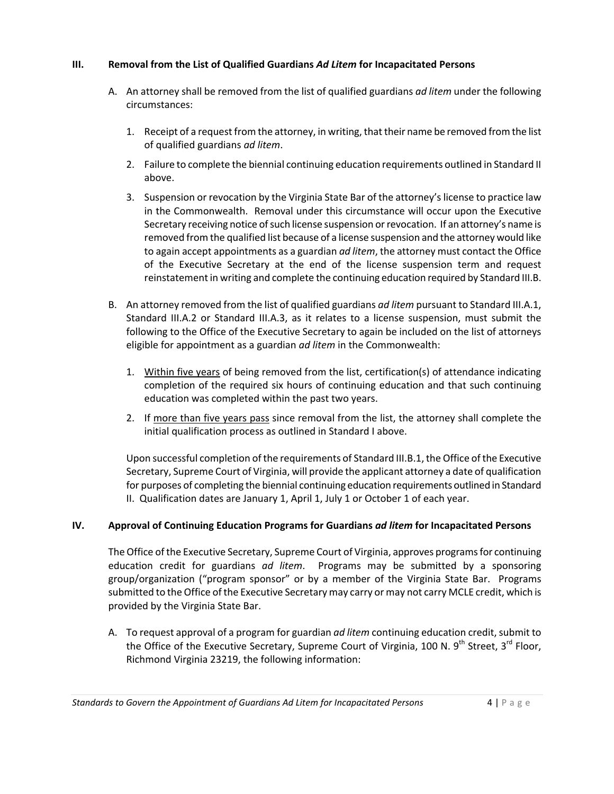#### **III. Removal from the List of Qualified Guardians** *Ad Litem* **for Incapacitated Persons**

- A. An attorney shall be removed from the list of qualified guardians *ad litem* under the following circumstances:
	- 1. Receipt of a request from the attorney, in writing, that their name be removed from the list of qualified guardians *ad litem*.
	- 2. Failure to complete the biennial continuing education requirements outlined in Standard II above.
	- 3. Suspension or revocation by the Virginia State Bar of the attorney's license to practice law in the Commonwealth. Removal under this circumstance will occur upon the Executive Secretary receiving notice of such license suspension or revocation. If an attorney's name is removed from the qualified list because of a license suspension and the attorney would like to again accept appointments as a guardian *ad litem*, the attorney must contact the Office of the Executive Secretary at the end of the license suspension term and request reinstatement in writing and complete the continuing education required by Standard III.B.
- B. An attorney removed from the list of qualified guardians *ad litem* pursuant to Standard III.A.1, Standard III.A.2 or Standard III.A.3, as it relates to a license suspension, must submit the following to the Office of the Executive Secretary to again be included on the list of attorneys eligible for appointment as a guardian *ad litem* in the Commonwealth:
	- 1. Within five years of being removed from the list, certification(s) of attendance indicating completion of the required six hours of continuing education and that such continuing education was completed within the past two years.
	- 2. If more than five years pass since removal from the list, the attorney shall complete the initial qualification process as outlined in Standard I above.

Upon successful completion of the requirements of Standard III.B.1, the Office of the Executive Secretary, Supreme Court of Virginia, will provide the applicant attorney a date of qualification for purposes of completing the biennial continuing education requirements outlined in Standard II. Qualification dates are January 1, April 1, July 1 or October 1 of each year.

# **IV. Approval of Continuing Education Programs for Guardians** *ad litem* **for Incapacitated Persons**

The Office of the Executive Secretary, Supreme Court of Virginia, approves programs for continuing education credit for guardians *ad litem*. Programs may be submitted by a sponsoring group/organization ("program sponsor" or by a member of the Virginia State Bar. Programs submitted to the Office of the Executive Secretary may carry or may not carry MCLE credit, which is provided by the Virginia State Bar.

A. To request approval of a program for guardian *ad litem* continuing education credit, submit to the Office of the Executive Secretary, Supreme Court of Virginia, 100 N. 9<sup>th</sup> Street, 3<sup>rd</sup> Floor, Richmond Virginia 23219, the following information: